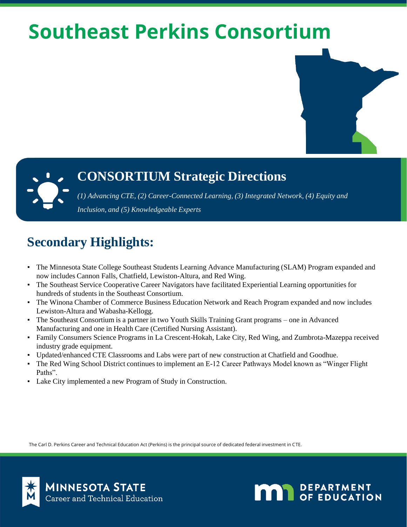# **Southeast Perkins Consortium**



#### **CONSORTIUM Strategic Directions**

*(1) Advancing CTE, (2) Career-Connected Learning, (3) Integrated Network, (4) Equity and Inclusion, and (5) Knowledgeable Experts*

## **Secondary Highlights:**

- The Minnesota State College Southeast Students Learning Advance Manufacturing (SLAM) Program expanded and now includes Cannon Falls, Chatfield, Lewiston-Altura, and Red Wing.
- The Southeast Service Cooperative Career Navigators have facilitated Experiential Learning opportunities for hundreds of students in the Southeast Consortium.
- The Winona Chamber of Commerce Business Education Network and Reach Program expanded and now includes Lewiston-Altura and Wabasha-Kellogg.
- The Southeast Consortium is a partner in two Youth Skills Training Grant programs one in Advanced Manufacturing and one in Health Care (Certified Nursing Assistant).
- Family Consumers Science Programs in La Crescent-Hokah, Lake City, Red Wing, and Zumbrota-Mazeppa received industry grade equipment.
- Updated/enhanced CTE Classrooms and Labs were part of new construction at Chatfield and Goodhue.
- The Red Wing School District continues to implement an E-12 Career Pathways Model known as "Winger Flight" Paths".
- Lake City implemented a new Program of Study in Construction.

The Carl D. Perkins Career and Technical Education Act (Perkins) is the principal source of dedicated federal investment in CTE.



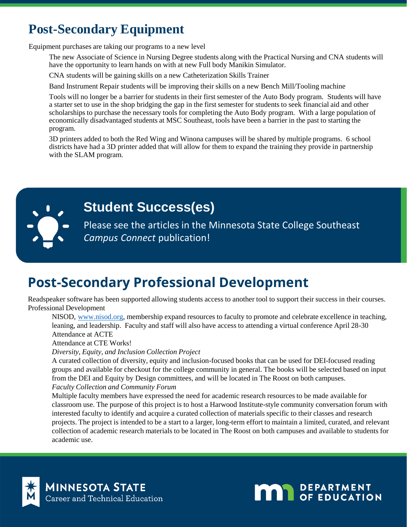## **Post-Secondary Equipment**

Equipment purchases are taking our programs to a new level

The new Associate of Science in Nursing Degree students along with the Practical Nursing and CNA students will have the opportunity to learn hands on with at new Full body Manikin Simulator.

CNA students will be gaining skills on a new Catheterization Skills Trainer

Band Instrument Repair students will be improving their skills on a new Bench Mill/Tooling machine

Tools will no longer be a barrier for students in their first semester of the Auto Body program. Students will have a starter set to use in the shop bridging the gap in the first semester for students to seek financial aid and other scholarships to purchase the necessary tools for completing the Auto Body program. With a large population of economically disadvantaged students at MSC Southeast, tools have been a barrier in the past to starting the program.

3D printers added to both the Red Wing and Winona campuses will be shared by multiple programs. 6 school districts have had a 3D printer added that will allow for them to expand the training they provide in partnership with the SLAM program.



### **Student Success(es)**

Please see the articles in the Minnesota State College Southeast *Campus Connect* publication!

## **Post-Secondary Professional Development**

Readspeaker software has been supported allowing students access to another tool to support their success in their courses. Professional Development

NISOD, [www.nisod.org](http://www.nisod.org/), membership expand resources to faculty to promote and celebrate excellence in teaching, leaning, and leadership. Faculty and staff will also have access to attending a virtual conference April 28-30 Attendance at ACTE

Attendance at CTE Works!

*Diversity, Equity, and Inclusion Collection Project*

A curated collection of diversity, equity and inclusion-focused books that can be used for DEI-focused reading groups and available for checkout for the college community in general. The books will be selected based on input from the DEI and Equity by Design committees, and will be located in The Roost on both campuses.

*Faculty Collection and Community Forum*

Multiple faculty members have expressed the need for academic research resources to be made available for classroom use. The purpose of this project is to host a Harwood Institute-style community conversation forum with interested faculty to identify and acquire a curated collection of materials specific to their classes and research projects. The project is intended to be a start to a larger, long-term effort to maintain a limited, curated, and relevant collection of academic research materials to be located in The Roost on both campuses and available to students for academic use.